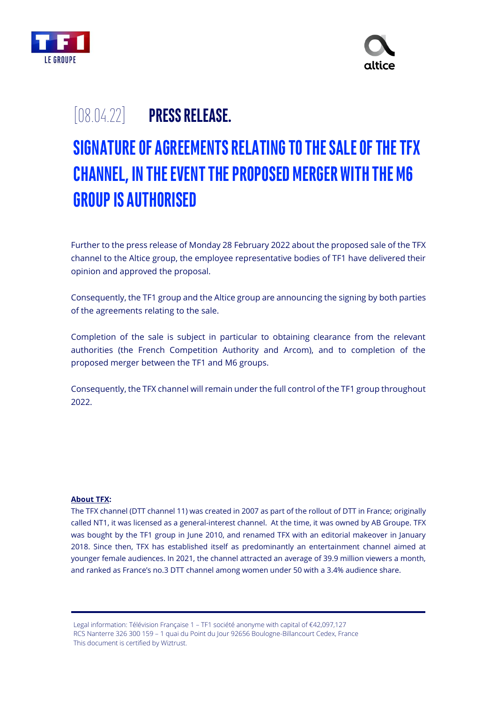



## [08.04.22] **PRESS RELEASE.**

# **SIGNATURE OF AGREEMENTS RELATING TO THE SALE OF THE TFX CHANNEL, IN THE EVENT THE PROPOSED MERGER WITH THE M6 GROUP IS AUTHORISED**

Further to the press release of Monday 28 February 2022 about the proposed sale of the TFX channel to the Altice group, the employee representative bodies of TF1 have delivered their opinion and approved the proposal.

Consequently, the TF1 group and the Altice group are announcing the signing by both parties of the agreements relating to the sale.

Completion of the sale is subject in particular to obtaining clearance from the relevant authorities (the French Competition Authority and Arcom), and to completion of the proposed merger between the TF1 and M6 groups.

Consequently, the TFX channel will remain under the full control of the TF1 group throughout 2022.

### **About TFX:**

The TFX channel (DTT channel 11) was created in 2007 as part of the rollout of DTT in France; originally called NT1, it was licensed as a general-interest channel. At the time, it was owned by AB Groupe. TFX was bought by the TF1 group in June 2010, and renamed TFX with an editorial makeover in January 2018. Since then, TFX has established itself as predominantly an entertainment channel aimed at younger female audiences. In 2021, the channel attracted an average of 39.9 million viewers a month, and ranked as France's no.3 DTT channel among women under 50 with a 3.4% audience share.

Legal information: Télévision Française 1 – TF1 société anonyme with capital of €42,097,127 RCS Nanterre 326 300 159 – 1 quai du Point du Jour 92656 Boulogne-Billancourt Cedex, France This document is certified by Wiztrust.